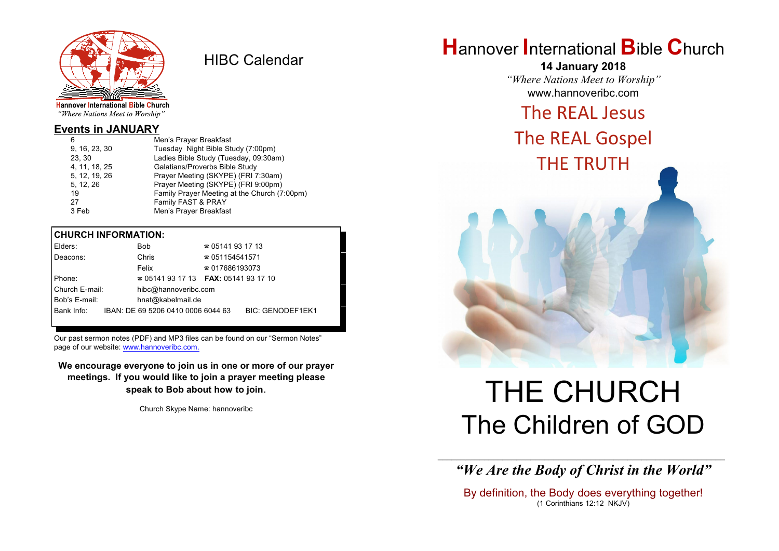

HIBC Calendar

"Where Nations Meet to Worship"

#### **Events in JANUARY**

| Men's Prayer Breakfast                       |
|----------------------------------------------|
| Tuesday Night Bible Study (7:00pm)           |
| Ladies Bible Study (Tuesday, 09:30am)        |
| Galatians/Proverbs Bible Study               |
| Prayer Meeting (SKYPE) (FRI 7:30am)          |
| Prayer Meeting (SKYPE) (FRI 9:00pm)          |
| Family Prayer Meeting at the Church (7:00pm) |
| Family FAST & PRAY                           |
| Men's Prayer Breakfast                       |
|                                              |

#### **CHURCH INFORMATION:**

| Elders:        | <b>Bob</b>                                    | $\approx 05141931713$  |                         |
|----------------|-----------------------------------------------|------------------------|-------------------------|
| Deacons:       | Chris                                         | $\approx 051154541571$ |                         |
|                | Felix                                         | $\approx 017686193073$ |                         |
| Phone:         | $\approx 05141931713$ FAX: 0514193 17 10      |                        |                         |
| Church E-mail: | hibc@hannoveribc.com                          |                        |                         |
| Bob's E-mail:  | hnat@kabelmail.de                             |                        |                         |
|                | Bank Info: IBAN: DE 69 5206 0410 0006 6044 63 |                        | <b>BIC: GENODEF1EK1</b> |
|                |                                               |                        |                         |

Our past sermon notes (PDF) and MP3 files can be found on our "Sermon Notes" page of our website: [www.hannoveribc.com.](http://www.hannoveribc.com.)

**We encourage everyone to join us in one or more of our prayer meetings. If you would like to join a prayer meeting please speak to Bob about how to join**.

Church Skype Name: hannoveribc

# **H**annover **I**nternational **B**ible **C**hurch

**14 January 2018** *"Where Nations Meet to Worship"* www.hannoveribc.com

## The REAL Jesus

## The REAL Gospel THE TRUTH

# THE CHURCH The Children of GOD

\_\_\_\_\_\_\_\_\_\_\_\_\_\_\_\_\_\_\_\_\_\_\_\_\_\_\_\_\_\_\_\_\_\_\_\_\_\_\_\_\_\_\_\_\_\_\_\_\_\_\_\_\_\_\_\_\_\_\_\_\_\_ *"We Are the Body of Christ in the World"*

By definition, the Body does everything together! (1 Corinthians 12:12 NKJV)